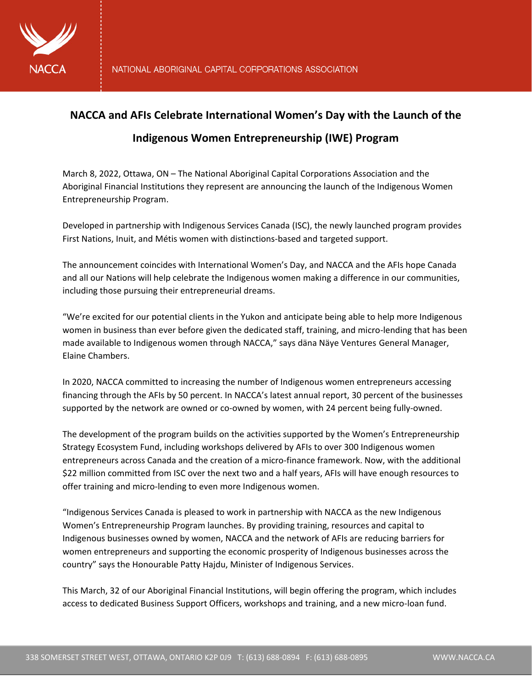

## **NACCA and AFIs Celebrate International Women's Day with the Launch of the**

## **Indigenous Women Entrepreneurship (IWE) Program**

March 8, 2022, Ottawa, ON – The National Aboriginal Capital Corporations Association and the Aboriginal Financial Institutions they represent are announcing the launch of the Indigenous Women Entrepreneurship Program.

Developed in partnership with Indigenous Services Canada (ISC), the newly launched program provides First Nations, Inuit, and Métis women with distinctions-based and targeted support.

The announcement coincides with International Women's Day, and NACCA and the AFIs hope Canada and all our Nations will help celebrate the Indigenous women making a difference in our communities, including those pursuing their entrepreneurial dreams.

"We're excited for our potential clients in the Yukon and anticipate being able to help more Indigenous women in business than ever before given the dedicated staff, training, and micro-lending that has been made available to Indigenous women through NACCA," says däna Näye Ventures General Manager, Elaine Chambers.

In 2020, NACCA committed to increasing the number of Indigenous women entrepreneurs accessing financing through the AFIs by 50 percent. In NACCA's latest annual report, 30 percent of the businesses supported by the network are owned or co-owned by women, with 24 percent being fully-owned.

The development of the program builds on the activities supported by the Women's Entrepreneurship Strategy Ecosystem Fund, including workshops delivered by AFIs to over 300 Indigenous women entrepreneurs across Canada and the creation of a micro-finance framework. Now, with the additional \$22 million committed from ISC over the next two and a half years, AFIs will have enough resources to offer training and micro-lending to even more Indigenous women.

"Indigenous Services Canada is pleased to work in partnership with NACCA as the new Indigenous Women's Entrepreneurship Program launches. By providing training, resources and capital to Indigenous businesses owned by women, NACCA and the network of AFIs are reducing barriers for women entrepreneurs and supporting the economic prosperity of Indigenous businesses across the country" says the Honourable Patty Hajdu, Minister of Indigenous Services.

This March, 32 of our Aboriginal Financial Institutions, will begin offering the program, which includes access to dedicated Business Support Officers, workshops and training, and a new micro-loan fund.